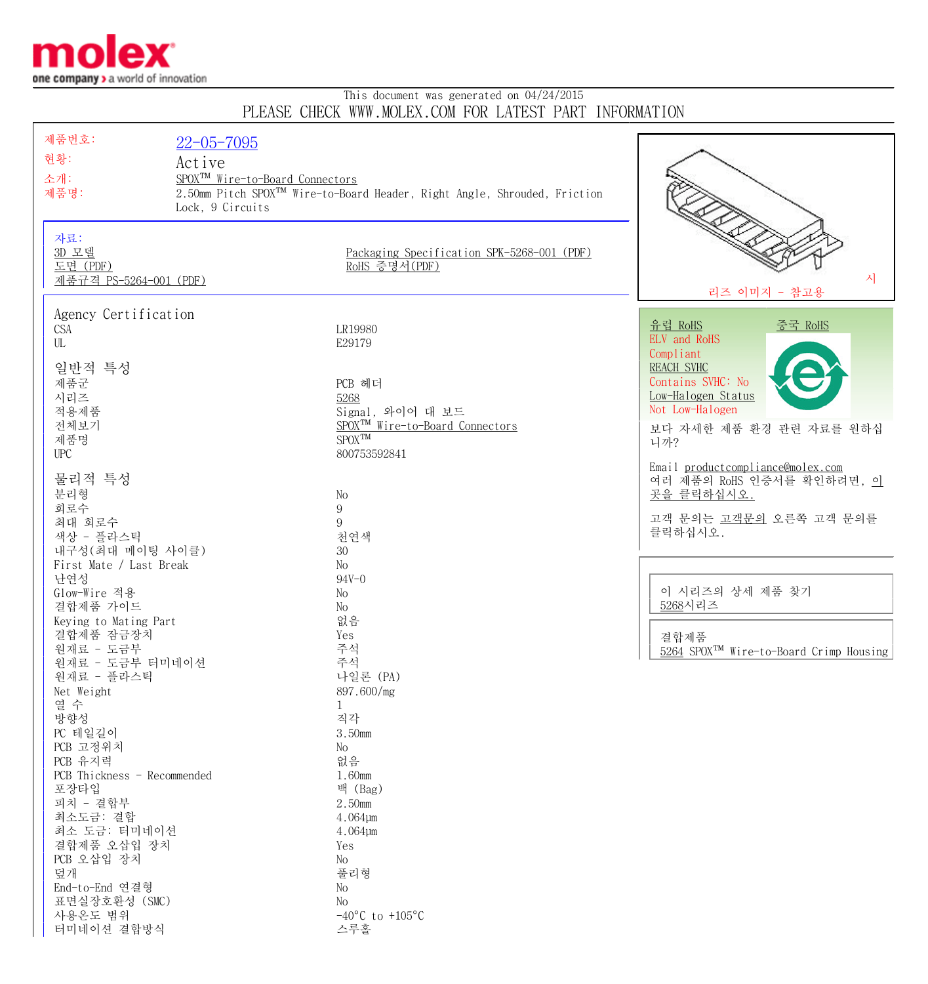

## This document was generated on 04/24/2015 PLEASE CHECK WWW.MOLEX.COM FOR LATEST PART INFORMATION

| 제품번호:<br>$22 - 05 - 7095$   |                                                                                      |                                                     |
|-----------------------------|--------------------------------------------------------------------------------------|-----------------------------------------------------|
| 현황:                         |                                                                                      |                                                     |
| Active                      |                                                                                      |                                                     |
| 소개:                         | SPOX <sup>TM</sup> Wire-to-Board Connectors                                          |                                                     |
| 제품명:                        | 2.50mm Pitch SPOX <sup>™</sup> Wire-to-Board Header, Right Angle, Shrouded, Friction |                                                     |
|                             | Lock, 9 Circuits                                                                     |                                                     |
|                             |                                                                                      |                                                     |
| 자료:                         |                                                                                      |                                                     |
| 3D 모델                       | Packaging Specification SPK-5268-001 (PDF)                                           |                                                     |
| 도면 (PDF)                    | RoHS 증명서(PDF)                                                                        |                                                     |
| 제품규격 PS-5264-001 (PDF)      |                                                                                      | 자                                                   |
|                             |                                                                                      | 리즈 이미지 - 참고용                                        |
|                             |                                                                                      |                                                     |
| Agency Certification        |                                                                                      | <u>유럽 RoHS</u><br><u>중국 RoHS</u>                    |
| <b>CSA</b>                  | LR19980                                                                              | ELV and RoHS                                        |
| UL                          | E29179                                                                               | Compliant                                           |
| 일반적 특성                      |                                                                                      | <b>REACH SVHC</b>                                   |
| 제품군                         | PCB 헤더                                                                               | Contains SVHC: No                                   |
|                             |                                                                                      | Low-Halogen Status                                  |
| 시리즈                         | 5268                                                                                 | Not Low-Halogen                                     |
| 적용제품                        | Signal, 와이어 대 보드                                                                     |                                                     |
| 전체보기                        | SPOX <sup>TM</sup> Wire-to-Board Connectors<br>$SPOX^{TM}$                           | 보다 자세한 제품 환경 관련 자료를 원하십                             |
| 제품명                         |                                                                                      | 니까?                                                 |
| <b>UPC</b>                  | 800753592841                                                                         | Email productcompliance@molex.com                   |
| 물리적 특성                      |                                                                                      | 여러 제품의 RoHS 인증서를 확인하려면, 이                           |
|                             |                                                                                      |                                                     |
| 분리형                         | No                                                                                   | 곳을 클릭하십시오.                                          |
| 회로수                         | $\boldsymbol{9}$                                                                     | 고객 문의는 고객문의 오른쪽 고객 문의를                              |
| 최대 회로수                      | 9                                                                                    | 클릭하십시오.                                             |
| 색상 - 플라스틱                   | 천연색                                                                                  |                                                     |
| 내구성(최대 메이팅 사이클)             | 30                                                                                   |                                                     |
| First Mate / Last Break     | No                                                                                   |                                                     |
| 난연성                         | $94V - 0$                                                                            |                                                     |
| Glow-Wire 적용                | No                                                                                   | 이 시리즈의 상세 제품 찾기                                     |
| 결합제품 가이드                    | No                                                                                   | 5268시리즈                                             |
| Keying to Mating Part       | 없음                                                                                   |                                                     |
| 결합제품 잠금장치                   | Yes                                                                                  | 결합제품                                                |
| 원재료 - 도금부                   | 주석                                                                                   | 5264 SPOX <sup>TM</sup> Wire-to-Board Crimp Housing |
| 원재료 - 도금부 터미네이션             | 주석                                                                                   |                                                     |
| 원재료 - 플라스틱                  | 나일론 (PA)                                                                             |                                                     |
| Net Weight                  | 897.600/mg                                                                           |                                                     |
| 열 수                         | $\mathbf{1}$                                                                         |                                                     |
| 방향성                         | 직각                                                                                   |                                                     |
| PC 테일길이                     | 3.50mm                                                                               |                                                     |
| PCB 고정위치                    | No                                                                                   |                                                     |
| PCB 유지력                     | 없음                                                                                   |                                                     |
| PCB Thickness - Recommended | 1.60mm                                                                               |                                                     |
| 포장타입                        | 백 (Bag)                                                                              |                                                     |
| 피치 - 결합부                    | 2.50mm                                                                               |                                                     |
| 최소도금: 결합                    | 4.064µm                                                                              |                                                     |
| 최소 도금: 터미네이션                | 4.064µm                                                                              |                                                     |
| 결합제품 오삽입 장치                 | Yes                                                                                  |                                                     |
| PCB 오삽입 장치                  | No                                                                                   |                                                     |
| 덮개                          | 풀리형                                                                                  |                                                     |
| End-to-End 연결형              | No                                                                                   |                                                     |
| 표면실장호환성 (SMC)               | No                                                                                   |                                                     |
| 사용온도 범위                     | $-40^{\circ}$ C to $+105^{\circ}$ C                                                  |                                                     |
| 터미네이션 결합방식                  | 스루홀                                                                                  |                                                     |